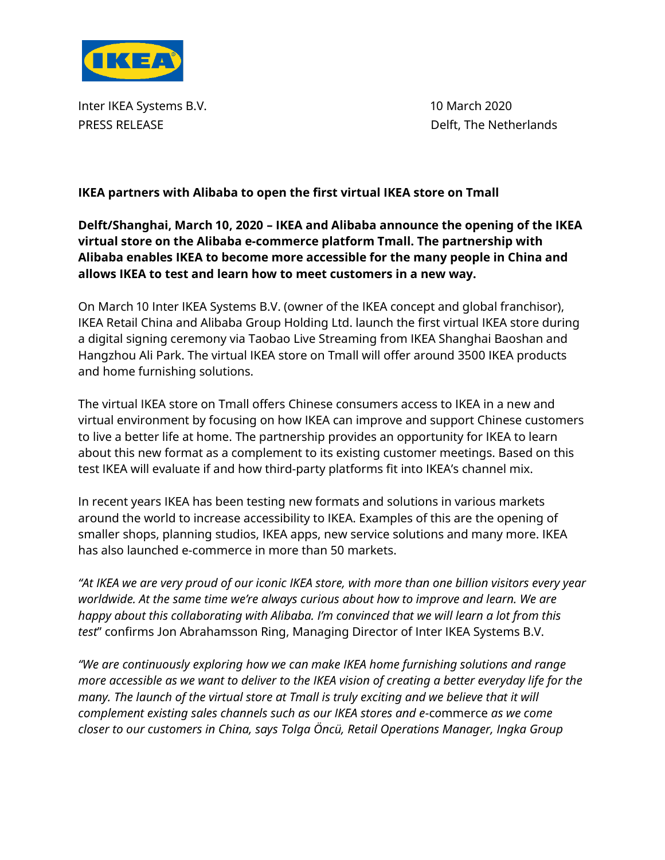

Inter IKEA Systems B.V. 10 March 2020 PRESS RELEASE DELEASE DELEASE DELEASE DELEASE DELEASE DELEASE DELEASE DELEASE DELEASE DELEASE DELEASE DELEASE

## **IKEA partners with Alibaba to open the first virtual IKEA store on Tmall**

# **Delft/Shanghai, March 10, 2020 – IKEA and Alibaba announce the opening of the IKEA virtual store on the Alibaba e-commerce platform Tmall. The partnership with Alibaba enables IKEA to become more accessible for the many people in China and allows IKEA to test and learn how to meet customers in a new way.**

On March 10 Inter IKEA Systems B.V. (owner of the IKEA concept and global franchisor), IKEA Retail China and Alibaba Group Holding Ltd. launch the first virtual IKEA store during a digital signing ceremony via Taobao Live Streaming from IKEA Shanghai Baoshan and Hangzhou Ali Park. The virtual IKEA store on Tmall will offer around 3500 IKEA products and home furnishing solutions.

The virtual IKEA store on Tmall offers Chinese consumers access to IKEA in a new and virtual environment by focusing on how IKEA can improve and support Chinese customers to live a better life at home. The partnership provides an opportunity for IKEA to learn about this new format as a complement to its existing customer meetings. Based on this test IKEA will evaluate if and how third-party platforms fit into IKEA's channel mix.

In recent years IKEA has been testing new formats and solutions in various markets around the world to increase accessibility to IKEA. Examples of this are the opening of smaller shops, planning studios, IKEA apps, new service solutions and many more. IKEA has also launched e-commerce in more than 50 markets.

*"At IKEA we are very proud of our iconic IKEA store, with more than one billion visitors every year worldwide. At the same time we're always curious about how to improve and learn. We are happy about this collaborating with Alibaba. I'm convinced that we will learn a lot from this test*" confirms Jon Abrahamsson Ring, Managing Director of Inter IKEA Systems B.V.

*"We are continuously exploring how we can make IKEA home furnishing solutions and range more accessible as we want to deliver to the IKEA vision of creating a better everyday life for the many. The launch of the virtual store at Tmall is truly exciting and we believe that it will complement existing sales channels such as our IKEA stores and e-*c*o*mmerce *as we come closer to our customers in China, says Tolga Öncü, Retail Operations Manager, Ingka Group*